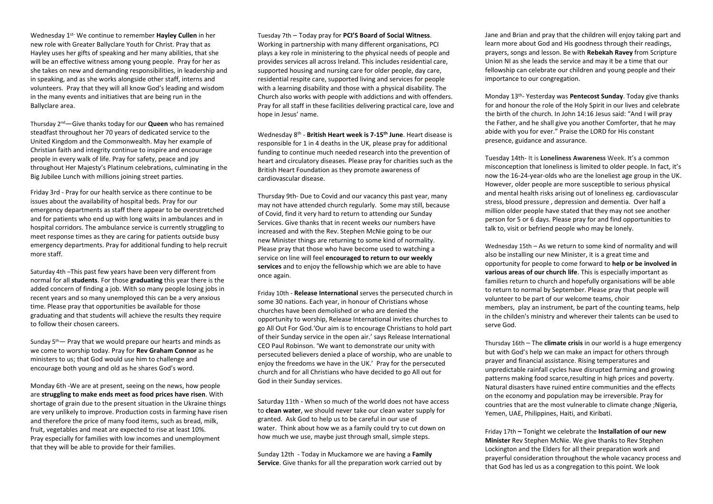Wednesday 1 st- We continue to remember **Hayley Cullen** in her new role with Greater Ballyclare Youth for Christ. Pray that as Hayley uses her gifts of speaking and her many abilities, that she will be an effective witness among young people. Pray for her as she takes on new and demanding responsibilities, in leadership and in speaking, and as she works alongside other staff, interns and volunteers. Pray that they will all know God's leading and wisdom in the many events and initiatives that are being run in the Ballyclare area.

Thursday 2<sup>nd</sup>—Give thanks today for our **Queen** who has remained steadfast throughout her 70 years of dedicated service to the United Kingdom and the Commonwealth. May her example of Christian faith and integrity continue to inspire and encourage people in every walk of life. Pray for safety, peace and joy throughout Her Majesty's Platinum celebrations, culminating in the Big Jubilee Lunch with millions joining street parties.

Friday 3rd - Pray for our health service as there continue to be issues about the availability of hospital beds. Pray for our emergency departments as staff there appear to be overstretched and for patients who end up with long waits in ambulances and in hospital corridors. The ambulance service is currently struggling to meet response times as they are caring for patients outside busy emergency departments. Pray for additional funding to help recruit more staff.

Saturday 4th –This past few years have been very different from normal for all **students**. For those **graduating** this year there is the added concern of finding a job. With so many people losing jobs in recent years and so many unemployed this can be a very anxious time. Please pray that opportunities be available for those graduating and that students will achieve the results they require to follow their chosen careers.

Sunday 5<sup>th</sup> — Pray that we would prepare our hearts and minds as we come to worship today. Pray for **Rev Graham Connor** as he ministers to us; that God would use him to challenge and encourage both young and old as he shares God's word.

Monday 6th -We are at present, seeing on the news, how people are **struggling to make ends meet as food prices have risen**. With shortage of grain due to the present situation in the Ukraine things are very unlikely to improve. Production costs in farming have risen and therefore the price of many food items, such as bread, milk, fruit, vegetables and meat are expected to rise at least 10%. Pray especially for families with low incomes and unemployment that they will be able to provide for their families.

Tuesday 7th – Today pray for **PCI'S Board of Social Witness**. Working in partnership with many different organisations, PCI plays a key role in ministering to the physical needs of people and provides services all across Ireland. This includes residential care, supported housing and nursing care for older people, day care, residential respite care, supported living and services for people with a learning disability and those with a physical disability. The Church also works with people with addictions and with offenders. Pray for all staff in these facilities delivering practical care, love and hope in Jesus' name.

Wednesday 8 th - **British Heart week is 7-15th June**. Heart disease is responsible for 1 in 4 deaths in the UK, please pray for additional funding to continue much needed research into the prevention of heart and circulatory diseases. Please pray for charities such as the British Heart Foundation as they promote awareness of cardiovascular disease.

Thursday 9th- Due to Covid and our vacancy this past year, many may not have attended church regularly. Some may still, because of Covid, find it very hard to return to attending our Sunday Services. Give thanks that in recent weeks our numbers have increased and with the Rev. Stephen McNie going to be our new Minister things are returning to some kind of normality. Please pray that those who have become used to watching a service on line will feel **encouraged to return to our weekly services** and to enjoy the fellowship which we are able to have once again.

Friday 10th - **Release International** serves the persecuted church in some 30 nations. Each year, in honour of Christians whose churches have been demolished or who are denied the opportunity to worship, Release International invites churches to go All Out For God.'Our aim is to encourage Christians to hold part of their Sunday service in the open air.' says Release International CEO Paul Robinson. 'We want to demonstrate our unity with persecuted believers denied a place of worship, who are unable to enjoy the freedoms we have in the UK.' Pray for the persecuted church and for all Christians who have decided to go All out for God in their Sunday services.

Saturday 11th - When so much of the world does not have access to **clean water**, we should never take our clean water supply for granted. Ask God to help us to be careful in our use of water. Think about how we as a family could try to cut down on how much we use, maybe just through small, simple steps.

Sunday 12th - Today in Muckamore we are having a **Family Service**. Give thanks for all the preparation work carried out by Jane and Brian and pray that the children will enjoy taking part and learn more about God and His goodness through their readings, prayers, songs and lesson. Be with **Rebekah Ravey** from Scripture Union NI as she leads the service and may it be a time that our fellowship can celebrate our children and young people and their importance to our congregation.

Monday 13 th - Yesterday was **Pentecost Sunday**. Today give thanks for and honour the role of the Holy Spirit in our lives and celebrate the birth of the church. I[n John 14:16](https://www.biblegateway.com/passage/?search=John%2014%3A16&version=KJV) Jesus said: "And I will pray the Father, and he shall give you another Comforter, that he may abide with you for ever." Praise the LORD for His constant presence, guidance and assurance.

Tuesday 14th- It is **Loneliness Awareness** Week. It's a common misconception that loneliness is limited to older people. In fact, it's now the 16-24-year-olds who are the loneliest age group in the UK. However, older people are more susceptible to serious physical and mental health risks arising out of loneliness eg. cardiovascular stress, blood pressure , depression and dementia. Over half a million older people have stated that they may not see another person for 5 or 6 days. Please pray for and find opportunities to talk to, visit or befriend people who may be lonely.

Wednesday 15th – As we return to some kind of normality and will also be installing our new Minister, it is a great time and opportunity for people to come forward to **help or be involved in various areas of our church life**. This is especially important as families return to church and hopefully organisations will be able to return to normal by September. Please pray that people will volunteer to be part of our welcome teams, choir members, play an instrument, be part of the counting teams, help in the childen's ministry and wherever their talents can be used to serve God.

Thursday 16th – The **climate crisis** in our world is a huge emergency but with God's help we can make an impact for others through prayer and financial assistance. Rising temperatures and unpredictable rainfall cycles have disrupted farming and growing patterns making food scarce,resulting in high prices and poverty. Natural disasters have ruined entire communities and the effects on the economy and population may be irreversible. Pray for countries that are the most vulnerable to climate change ;Nigeria, Yemen, UAE, Philippines, Haiti, and Kiribati.

Friday 17th **–** Tonight we celebrate the **Installation of our new Minister** Rev Stephen McNie. We give thanks to Rev Stephen Lockington and the Elders for all their preparation work and prayerful consideration throughout the whole vacancy process and that God has led us as a congregation to this point. We look